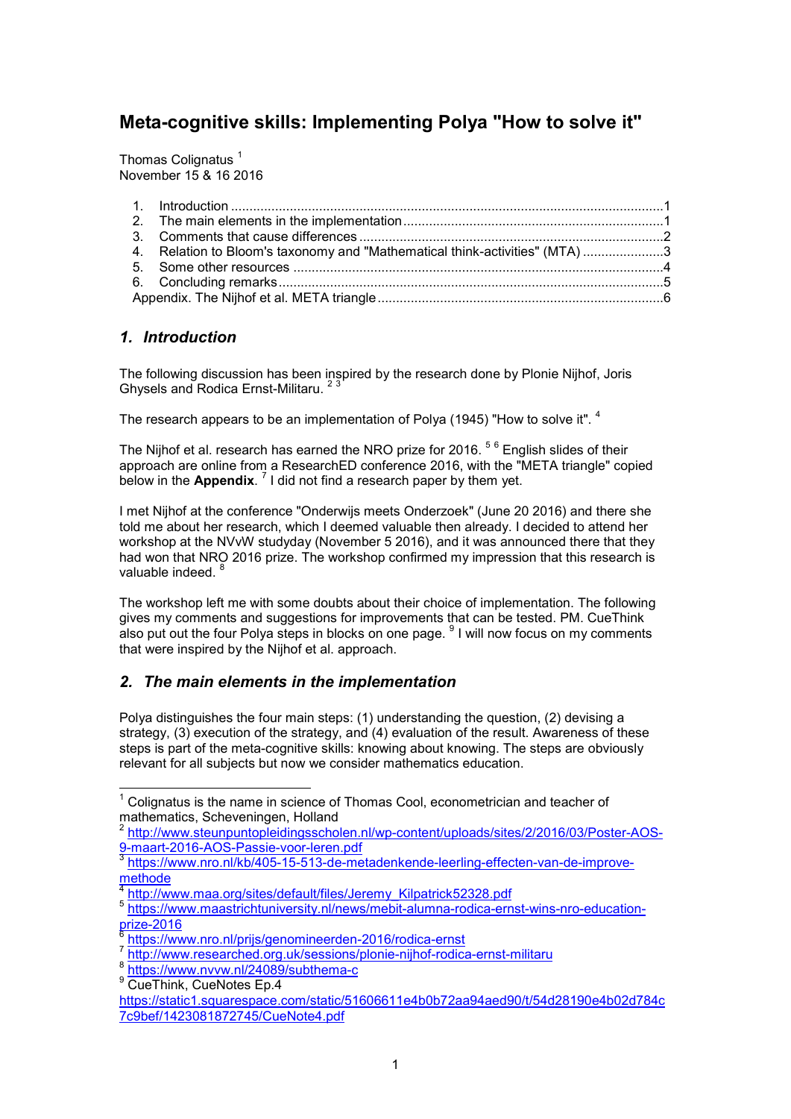# **Meta-cognitive skills: Implementing Polya "How to solve it"**

Thomas Colignatus<sup>1</sup> November 15 & 16 2016

| 4. Relation to Bloom's taxonomy and "Mathematical think-activities" (MTA) 3 |  |  |  |
|-----------------------------------------------------------------------------|--|--|--|
|                                                                             |  |  |  |
|                                                                             |  |  |  |
|                                                                             |  |  |  |

## *1. Introduction*

The following discussion has been inspired by the research done by Plonie Nijhof, Joris Ghysels and Rodica Ernst-Militaru.

The research appears to be an implementation of Polya (1945) "How to solve it". <sup>4</sup>

The Nijhof et al. research has earned the NRO prize for 2016.  $^{\mathrm{5~6}}$  English slides of their approach are online from a ResearchED conference 2016, with the "META triangle" copied below in the **Appendix**. 7 I did not find a research paper by them yet.

I met Nijhof at the conference "Onderwijs meets Onderzoek" (June 20 2016) and there she told me about her research, which I deemed valuable then already. I decided to attend her workshop at the NVvW studyday (November 5 2016), and it was announced there that they had won that NRO 2016 prize. The workshop confirmed my impression that this research is valuable indeed.<sup>8</sup>

The workshop left me with some doubts about their choice of implementation. The following gives my comments and suggestions for improvements that can be tested. PM. CueThink also put out the four Polya steps in blocks on one page. <sup>9</sup> I will now focus on my comments that were inspired by the Nijhof et al. approach.

## *2. The main elements in the implementation*

Polya distinguishes the four main steps: (1) understanding the question, (2) devising a strategy, (3) execution of the strategy, and (4) evaluation of the result. Awareness of these steps is part of the meta-cognitive skills: knowing about knowing. The steps are obviously relevant for all subjects but now we consider mathematics education.

j  $^\text{1}$  Colignatus is the name in science of Thomas Cool, econometrician and teacher of mathematics, Scheveningen, Holland<br><sup>2</sup> http://www.stauppuntepleidingeeche

http://www.steunpuntopleidingsscholen.nl/wp-content/uploads/sites/2/2016/03/Poster-AOS-9-maart-2016-AOS-Passie-voor-leren.pdf

<sup>&</sup>lt;sup>3</sup> https://www.nro.nl/kb/405-15-513-de-metadenkende-leerling-effecten-van-de-improvemethode

<sup>&</sup>lt;sup>4</sup> http://www.maa.org/sites/default/files/Jeremy\_Kilpatrick52328.pdf

<sup>5</sup> https://www.maastrichtuniversity.nl/news/mebit-alumna-rodica-ernst-wins-nro-education-<mark>prize-2016</mark><br><sup>6</sup> https://w

https://www.nro.nl/prijs/genomineerden-2016/rodica-ernst

<sup>7</sup> http://www.researched.org.uk/sessions/plonie-nijhof-rodica-ernst-militaru

<sup>8</sup> https://www.nvvw.nl/24089/subthema-c

<sup>&</sup>lt;sup>9</sup> CueThink, CueNotes Ep.4

https://static1.squarespace.com/static/51606611e4b0b72aa94aed90/t/54d28190e4b02d784c 7c9bef/1423081872745/CueNote4.pdf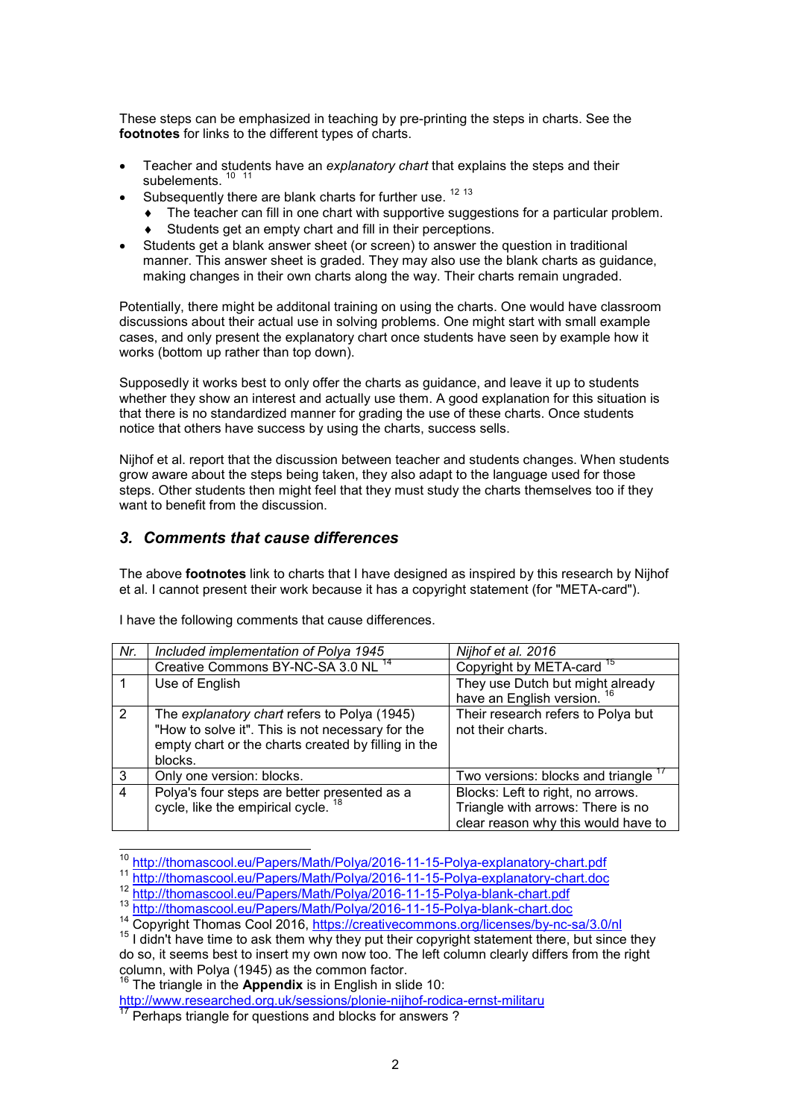These steps can be emphasized in teaching by pre-printing the steps in charts. See the **footnotes** for links to the different types of charts.

- Teacher and students have an *explanatory chart* that explains the steps and their subelements.<sup>10</sup> 11
- Subsequently there are blank charts for further use.  $12 13$ 
	- The teacher can fill in one chart with supportive suggestions for a particular problem.
	- ♦ Students get an empty chart and fill in their perceptions.
- Students get a blank answer sheet (or screen) to answer the question in traditional manner. This answer sheet is graded. They may also use the blank charts as guidance, making changes in their own charts along the way. Their charts remain ungraded.

Potentially, there might be additonal training on using the charts. One would have classroom discussions about their actual use in solving problems. One might start with small example cases, and only present the explanatory chart once students have seen by example how it works (bottom up rather than top down).

Supposedly it works best to only offer the charts as guidance, and leave it up to students whether they show an interest and actually use them. A good explanation for this situation is that there is no standardized manner for grading the use of these charts. Once students notice that others have success by using the charts, success sells.

Nijhof et al. report that the discussion between teacher and students changes. When students grow aware about the steps being taken, they also adapt to the language used for those steps. Other students then might feel that they must study the charts themselves too if they want to benefit from the discussion.

### *3. Comments that cause differences*

The above **footnotes** link to charts that I have designed as inspired by this research by Nijhof et al. I cannot present their work because it has a copyright statement (for "META-card").

| Nr.            | Included implementation of Polya 1945                                                                                                                              | Nijhof et al. 2016                                                                                            |
|----------------|--------------------------------------------------------------------------------------------------------------------------------------------------------------------|---------------------------------------------------------------------------------------------------------------|
|                | Creative Commons BY-NC-SA 3.0 NL <sup>14</sup>                                                                                                                     | Copyright by META-card <sup>15</sup>                                                                          |
|                | Use of English                                                                                                                                                     | They use Dutch but might already<br>have an English version. <sup>16</sup>                                    |
| $\overline{2}$ | The explanatory chart refers to Polya (1945)<br>"How to solve it". This is not necessary for the<br>empty chart or the charts created by filling in the<br>blocks. | Their research refers to Polya but<br>not their charts.                                                       |
| 3              | Only one version: blocks.                                                                                                                                          | Two versions: blocks and triangle                                                                             |
| $\overline{4}$ | Polya's four steps are better presented as a<br>cycle, like the empirical cycle. <sup>18</sup>                                                                     | Blocks: Left to right, no arrows.<br>Triangle with arrows: There is no<br>clear reason why this would have to |

I have the following comments that cause differences.

<sup>16</sup> The triangle in the **Appendix** is in English in slide 10:

j <sup>10</sup> http://thomascool.eu/Papers/Math/Polya/2016-11-15-Polya-explanatory-chart.pdf

<sup>11</sup> http://thomascool.eu/Papers/Math/Polya/2016-11-15-Polya-explanatory-chart.doc

<sup>12</sup> http://thomascool.eu/Papers/Math/Polya/2016-11-15-Polya-blank-chart.pdf

<sup>13</sup> http://thomascool.eu/Papers/Math/Polya/2016-11-15-Polya-blank-chart.doc

<sup>14</sup> Copyright Thomas Cool 2016, https://creativecommons.org/licenses/by-nc-sa/3.0/nl

<sup>&</sup>lt;sup>15</sup> I didn't have time to ask them why they put their copyright statement there, but since they do so, it seems best to insert my own now too. The left column clearly differs from the right column, with Polya (1945) as the common factor.

http://www.researched.org.uk/sessions/plonie-nijhof-rodica-ernst-militaru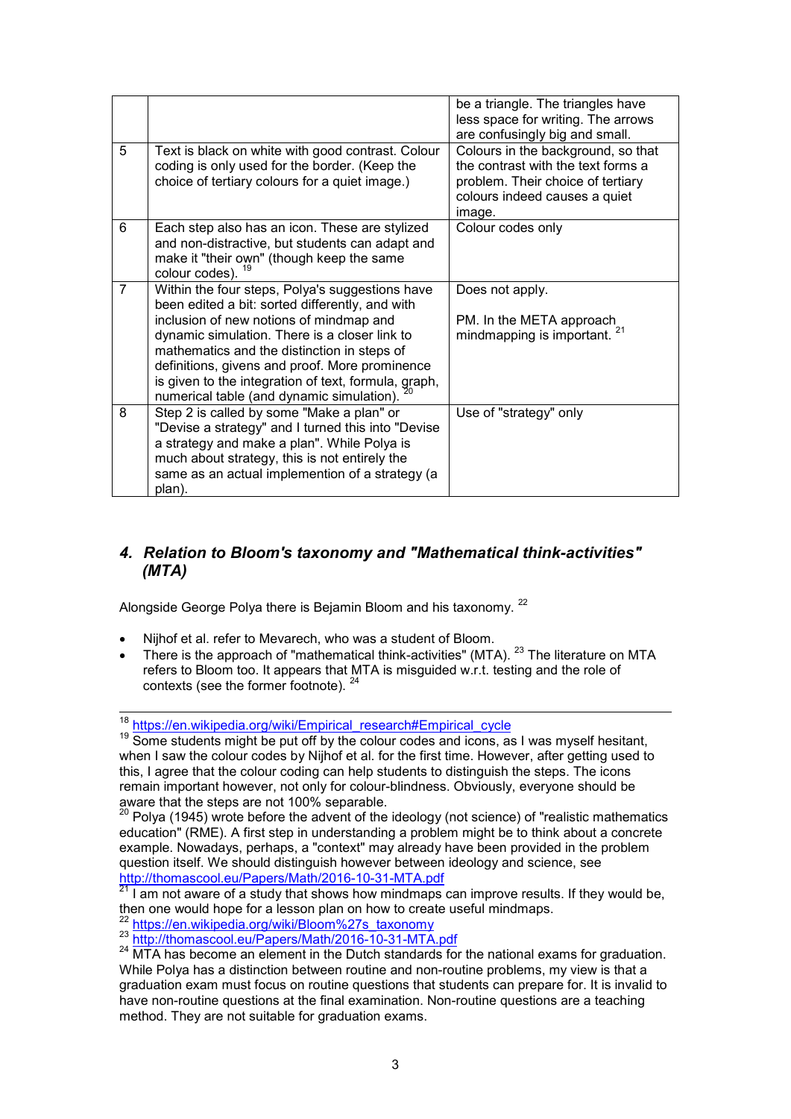|                |                                                                                                                                                                                                                                                                                                                                                                                                      | be a triangle. The triangles have<br>less space for writing. The arrows<br>are confusingly big and small.                                                |
|----------------|------------------------------------------------------------------------------------------------------------------------------------------------------------------------------------------------------------------------------------------------------------------------------------------------------------------------------------------------------------------------------------------------------|----------------------------------------------------------------------------------------------------------------------------------------------------------|
| 5              | Text is black on white with good contrast. Colour<br>coding is only used for the border. (Keep the<br>choice of tertiary colours for a quiet image.)                                                                                                                                                                                                                                                 | Colours in the background, so that<br>the contrast with the text forms a<br>problem. Their choice of tertiary<br>colours indeed causes a quiet<br>image. |
| 6              | Each step also has an icon. These are stylized<br>and non-distractive, but students can adapt and<br>make it "their own" (though keep the same<br>colour codes). <sup>19</sup>                                                                                                                                                                                                                       | Colour codes only                                                                                                                                        |
| $\overline{7}$ | Within the four steps, Polya's suggestions have<br>been edited a bit: sorted differently, and with<br>inclusion of new notions of mindmap and<br>dynamic simulation. There is a closer link to<br>mathematics and the distinction in steps of<br>definitions, givens and proof. More prominence<br>is given to the integration of text, formula, graph,<br>numerical table (and dynamic simulation). | Does not apply.<br>PM. In the META approach<br>mindmapping is important. <sup>21</sup>                                                                   |
| 8              | Step 2 is called by some "Make a plan" or<br>"Devise a strategy" and I turned this into "Devise<br>a strategy and make a plan". While Polya is<br>much about strategy, this is not entirely the<br>same as an actual implemention of a strategy (a<br>plan).                                                                                                                                         | Use of "strategy" only                                                                                                                                   |

## *4. Relation to Bloom's taxonomy and "Mathematical think-activities" (MTA)*

Alongside George Polya there is Bejamin Bloom and his taxonomy. <sup>22</sup>

- Nijhof et al. refer to Mevarech, who was a student of Bloom.
- There is the approach of "mathematical think-activities" (MTA). <sup>23</sup> The literature on MTA refers to Bloom too. It appears that MTA is misguided w.r.t. testing and the role of contexts (see the former footnote). <sup>24</sup>

 $\overline{a}$ <sup>18</sup> https://en.wikipedia.org/wiki/Empirical\_research#Empirical\_cycle

<sup>&</sup>lt;sup>19</sup> Some students might be put off by the colour codes and icons, as I was myself hesitant, when I saw the colour codes by Nijhof et al. for the first time. However, after getting used to this, I agree that the colour coding can help students to distinguish the steps. The icons remain important however, not only for colour-blindness. Obviously, everyone should be aware that the steps are not 100% separable.

 $^{\rm 20}$  Polya (1945) wrote before the advent of the ideology (not science) of "realistic mathematics education" (RME). A first step in understanding a problem might be to think about a concrete example. Nowadays, perhaps, a "context" may already have been provided in the problem question itself. We should distinguish however between ideology and science, see http://thomascool.eu/Papers/Math/2016-10-31-MTA.pdf

 $^{21}$  I am not aware of a study that shows how mindmaps can improve results. If they would be, then one would hope for a lesson plan on how to create useful mindmaps.

https://en.wikipedia.org/wiki/Bloom%27s\_taxonomy

<sup>23</sup> http://thomascool.eu/Papers/Math/2016-10-31-MTA.pdf

<sup>&</sup>lt;sup>24</sup> MTA has become an element in the Dutch standards for the national exams for graduation. While Polya has a distinction between routine and non-routine problems, my view is that a graduation exam must focus on routine questions that students can prepare for. It is invalid to have non-routine questions at the final examination. Non-routine questions are a teaching method. They are not suitable for graduation exams.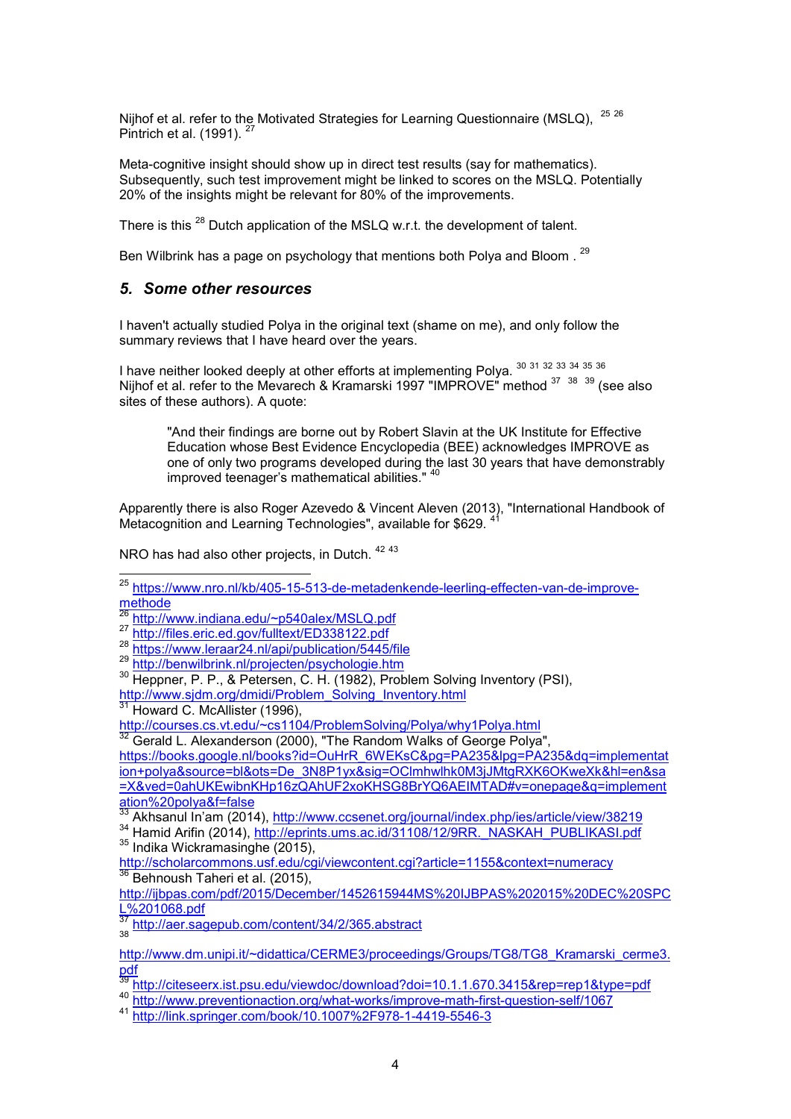Nijhof et al. refer to the Motivated Strategies for Learning Questionnaire (MSLQ). <sup>25 26</sup> Pintrich et al. (1991).

Meta-cognitive insight should show up in direct test results (say for mathematics). Subsequently, such test improvement might be linked to scores on the MSLQ. Potentially 20% of the insights might be relevant for 80% of the improvements.

There is this <sup>28</sup> Dutch application of the MSLQ w.r.t. the development of talent.

Ben Wilbrink has a page on psychology that mentions both Polya and Bloom . <sup>29</sup>

### *5. Some other resources*

I haven't actually studied Polya in the original text (shame on me), and only follow the summary reviews that I have heard over the years.

I have neither looked deeply at other efforts at implementing Polya. <sup>30</sup> <sup>31</sup> <sup>32</sup> <sup>33</sup> <sup>34</sup> <sup>35</sup> <sup>36</sup> Nijhof et al. refer to the Mevarech & Kramarski 1997 "IMPROVE" method 37 38 39 (see also sites of these authors). A quote:

"And their findings are borne out by Robert Slavin at the UK Institute for Effective Education whose Best Evidence Encyclopedia (BEE) acknowledges IMPROVE as one of only two programs developed during the last 30 years that have demonstrably improved teenager's mathematical abilities." <sup>40</sup>

Apparently there is also Roger Azevedo & Vincent Aleven (2013), "International Handbook of Metacognition and Learning Technologies", available for \$629.

NRO has had also other projects, in Dutch.  $4243$ 

29 http://benwilbrink.nl/projecten/psychologie.htm

<sup>30</sup> Heppner, P. P., & Petersen, C. H. (1982), Problem Solving Inventory (PSI), http://www.sjdm.org/dmidi/Problem\_Solving\_Inventory.html

 $31$  Howard C. McAllister (1996),

http://courses.cs.vt.edu/~cs1104/ProblemSolving/Polya/why1Polya.html

Gerald L. Alexanderson (2000), "The Random Walks of George Polya",

https://books.google.nl/books?id=OuHrR\_6WEKsC&pg=PA235&lpg=PA235&dq=implementat ion+polya&source=bl&ots=De\_3N8P1yx&sig=OClmhwlhk0M3jJMtgRXK6OKweXk&hl=en&sa =X&ved=0ahUKEwibnKHp16zQAhUF2xoKHSG8BrYQ6AEIMTAD#v=onepage&q=implement ation%20polya&f=false

<sup>33</sup> Akhsanul In'am (2014), <u>http://www.ccsenet.org/journal/index.php/ies/article/view/38219</u>

34 Hamid Arifin (2014), http://eprints.ums.ac.id/31108/12/9RR.\_NASKAH\_PUBLIKASI.pdf <sup>35</sup> Indika Wickramasinghe (2015),

http://scholarcommons.usf.edu/cgi/viewcontent.cgi?article=1155&context=numeracy<br><sup>36</sup> Behnaugh Tabacius (38 Context) Behnoush Taheri et al. (2015),

http://ijbpas.com/pdf/2015/December/1452615944MS%20IJBPAS%202015%20DEC%20SPC L%201068.pdf

<sup>37</sup> http://aer.sagepub.com/content/34/2/365.abstract<br><sup>38</sup>

į

<sup>40</sup> http://www.preventionaction.org/what-works/improve-math-first-question-self/1067

<sup>41</sup> http://link.springer.com/book/10.1007%2F978-1-4419-5546-3

<sup>&</sup>lt;sup>25</sup> https://www.nro.nl/kb/405-15-513-de-metadenkende-leerling-effecten-van-de-improvemethode

<sup>26</sup> http://www.indiana.edu/~p540alex/MSLQ.pdf

<sup>&</sup>lt;sup>27</sup> http://files.eric.ed<u>.gov/fulltext/ED338122.pdf</u>

<sup>28</sup> https://www.leraar24.nl/api/publication/5445/file

http://www.dm.unipi.it/~didattica/CERME3/proceedings/Groups/TG8/TG8\_Kramarski\_cerme3. <u>pdf</u>

<sup>&</sup>lt;sup>39</sup> http://citeseerx.ist.psu.edu/viewdoc/download?doi=10.1.1.670.3415&rep=rep1&type=pdf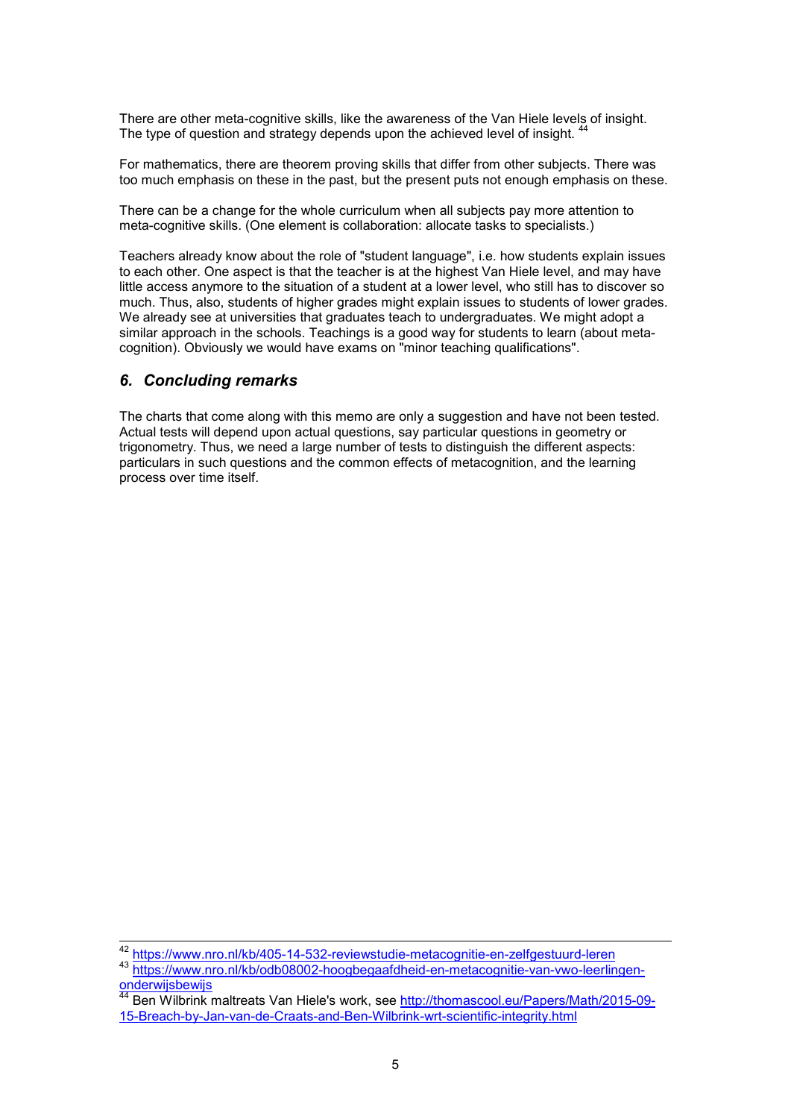There are other meta-cognitive skills, like the awareness of the Van Hiele levels of insight. The type of question and strategy depends upon the achieved level of insight.

For mathematics, there are theorem proving skills that differ from other subjects. There was too much emphasis on these in the past, but the present puts not enough emphasis on these.

There can be a change for the whole curriculum when all subjects pay more attention to meta-cognitive skills. (One element is collaboration: allocate tasks to specialists.)

Teachers already know about the role of "student language", i.e. how students explain issues to each other. One aspect is that the teacher is at the highest Van Hiele level, and may have little access anymore to the situation of a student at a lower level, who still has to discover so much. Thus, also, students of higher grades might explain issues to students of lower grades. We already see at universities that graduates teach to undergraduates. We might adopt a similar approach in the schools. Teachings is a good way for students to learn (about metacognition). Obviously we would have exams on "minor teaching qualifications".

#### *6. Concluding remarks*

The charts that come along with this memo are only a suggestion and have not been tested. Actual tests will depend upon actual questions, say particular questions in geometry or trigonometry. Thus, we need a large number of tests to distinguish the different aspects: particulars in such questions and the common effects of metacognition, and the learning process over time itself.

<sup>42</sup> <sup>42</sup> https://www.nro.nl/kb/405-14-532-reviewstudie-metacognitie-en-zelfgestuurd-leren

https://www.nro.nl/kb/odb08002-hoogbegaafdheid-en-metacognitie-van-vwo-leerlingen**onderwijsbewijs** 

<sup>44</sup> Ben Wilbrink maltreats Van Hiele's work, see http://thomascool.eu/Papers/Math/2015-09- 15-Breach-by-Jan-van-de-Craats-and-Ben-Wilbrink-wrt-scientific-integrity.html